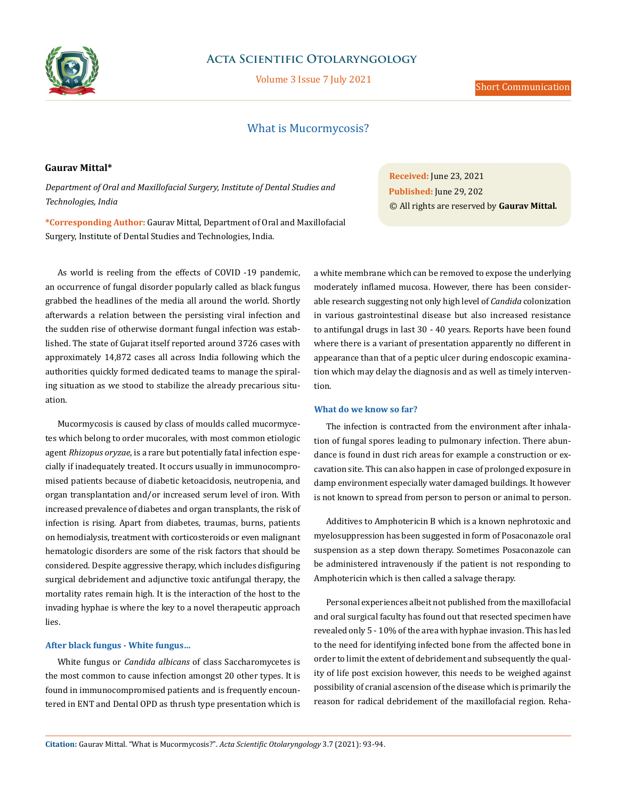

# **Acta Scientific Otolaryngology**

Volume 3 Issue 7 July 2021

## Short Communication

# What is Mucormycosis?

### **Gaurav Mittal\***

*Department of Oral and Maxillofacial Surgery, Institute of Dental Studies and Technologies, India* 

**\*Corresponding Author:** Gaurav Mittal, Department of Oral and Maxillofacial Surgery, Institute of Dental Studies and Technologies, India.

As world is reeling from the effects of COVID -19 pandemic, an occurrence of fungal disorder popularly called as black fungus grabbed the headlines of the media all around the world. Shortly afterwards a relation between the persisting viral infection and the sudden rise of otherwise dormant fungal infection was established. The state of Gujarat itself reported around 3726 cases with approximately 14,872 cases all across India following which the authorities quickly formed dedicated teams to manage the spiraling situation as we stood to stabilize the already precarious situation.

Mucormycosis is caused by class of moulds called mucormycetes which belong to order mucorales, with most common etiologic agent *Rhizopus oryzae*, is a rare but potentially fatal infection especially if inadequately treated. It occurs usually in immunocompromised patients because of diabetic ketoacidosis, neutropenia, and organ transplantation and/or increased serum level of iron. With increased prevalence of diabetes and organ transplants, the risk of infection is rising. Apart from diabetes, traumas, burns, patients on hemodialysis, treatment with corticosteroids or even malignant hematologic disorders are some of the risk factors that should be considered. Despite aggressive therapy, which includes disfiguring surgical debridement and adjunctive toxic antifungal therapy, the mortality rates remain high. It is the interaction of the host to the invading hyphae is where the key to a novel therapeutic approach lies.

### **After black fungus - White fungus…**

White fungus or *Candida albicans* of class Saccharomycetes is the most common to cause infection amongst 20 other types. It is found in immunocompromised patients and is frequently encountered in ENT and Dental OPD as thrush type presentation which is

**Received:** June 23, 2021 **Published:** June 29, 202 © All rights are reserved by **Gaurav Mittal***.*

a white membrane which can be removed to expose the underlying moderately inflamed mucosa. However, there has been considerable research suggesting not only high level of *Candida* colonization in various gastrointestinal disease but also increased resistance to antifungal drugs in last 30 - 40 years. Reports have been found where there is a variant of presentation apparently no different in appearance than that of a peptic ulcer during endoscopic examination which may delay the diagnosis and as well as timely intervention.

### **What do we know so far?**

The infection is contracted from the environment after inhalation of fungal spores leading to pulmonary infection. There abundance is found in dust rich areas for example a construction or excavation site. This can also happen in case of prolonged exposure in damp environment especially water damaged buildings. It however is not known to spread from person to person or animal to person.

Additives to Amphotericin B which is a known nephrotoxic and myelosuppression has been suggested in form of Posaconazole oral suspension as a step down therapy. Sometimes Posaconazole can be administered intravenously if the patient is not responding to Amphotericin which is then called a salvage therapy.

Personal experiences albeit not published from the maxillofacial and oral surgical faculty has found out that resected specimen have revealed only 5 - 10% of the area with hyphae invasion. This has led to the need for identifying infected bone from the affected bone in order to limit the extent of debridement and subsequently the quality of life post excision however, this needs to be weighed against possibility of cranial ascension of the disease which is primarily the reason for radical debridement of the maxillofacial region. Reha